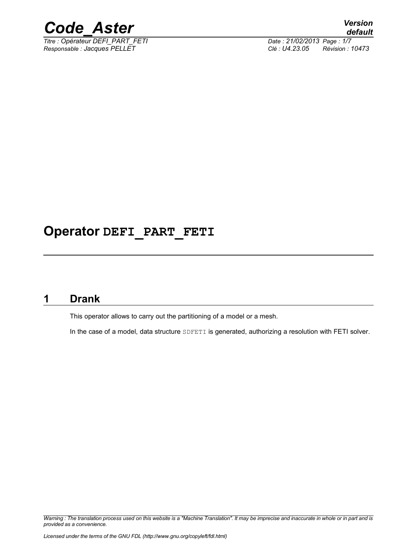

*Titre : Opérateur DEFI\_PART\_FETI Date : 21/02/2013 Page : 1/7*

*Responsable : Jacques PELLET Clé : U4.23.05 Révision : 10473*

# **Operator DEFI\_PART\_FETI**

#### **1 Drank**

This operator allows to carry out the partitioning of a model or a mesh.

In the case of a model, data structure SDFETI is generated, authorizing a resolution with FETI solver.

*Warning : The translation process used on this website is a "Machine Translation". It may be imprecise and inaccurate in whole or in part and is provided as a convenience.*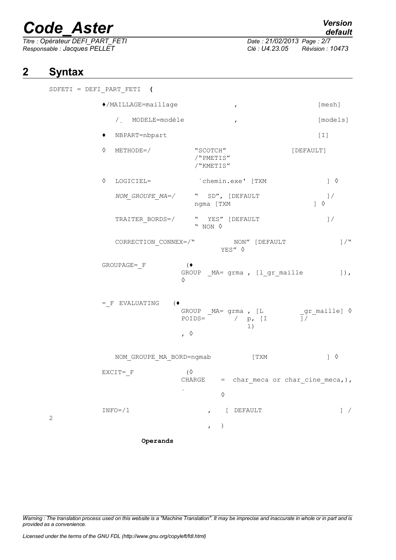*Titre : Opérateur DEFI\_PART\_FETI Date : 21/02/2013 Page : 2/7 Responsable : Jacques PELLET Clé : U4.23.05 Révision : 10473*

# **2 Syntax**

2

|                | SDFETI = DEFI PART FETI $($        |                                                                                                                                             |                                |
|----------------|------------------------------------|---------------------------------------------------------------------------------------------------------------------------------------------|--------------------------------|
|                | ◆/MAILLAGE=maillage                | $\mathbf{r}$                                                                                                                                | [mesh]                         |
|                | / MODELE=modèle                    | $\pmb{r}$                                                                                                                                   | [models]                       |
|                | NBPART=nbpart                      |                                                                                                                                             | $[1]$                          |
|                | $\Diamond$ METHODE=/               | "SCOTCH"<br>/<br>"PMETIS"<br>/"KMETIS"                                                                                                      | [DEFAULT]                      |
|                | ♦<br>LOGICIEL=                     | `chemin.exe' [TXM                                                                                                                           | $\Box$                         |
|                |                                    | $\begin{minipage}{.4\linewidth} \textit{NOM\_GROUPE\_MA=}/ & \textit{``} & \textit{SD''}, & \textit{[DEFAULT]} \end{minipage}$<br>ngma [TXM | 1/<br>$1 \circ$                |
|                |                                    | TRAITER BORDS=/ "YES" [DEFAULT<br>" NON $\Diamond$                                                                                          | $\frac{1}{2}$                  |
|                |                                    | CORRECTION CONNEX=/ $\degree$ NON" [DEFAULT<br>YES" ♦                                                                                       | ] $/$ $\sp{v}$                 |
|                | GROUPAGE= F                        | $(\bullet)$<br>GROUP MA= grma, [l gr maille<br>♦                                                                                            | $\left  \ \right\rangle$ ,     |
|                | $=$ F EVALUATING ( $\blacklozenge$ | GROUP $MA = \text{grma}$ , [L $gr\_maille$ ] $\Diamond$<br>POIDS= $/ p$ , [I<br>1)<br>$\lambda$                                             | $\frac{1}{2}$                  |
|                |                                    | NOM GROUPE MA BORD=ngmab [TXM                                                                                                               | $1 \circ$                      |
|                | EXCIT= F                           | $(\Diamond$<br>CHARGE                                                                                                                       | char_meca or char_cine_meca,), |
|                |                                    | $\Diamond$                                                                                                                                  |                                |
| $\overline{c}$ | $INFO= / 1$                        | DEFAULT                                                                                                                                     | $\vert$ /                      |
|                |                                    | $\big)$<br>$\mathbf{r}$                                                                                                                     |                                |

**Operands**

*Warning : The translation process used on this website is a "Machine Translation". It may be imprecise and inaccurate in whole or in part and is provided as a convenience.*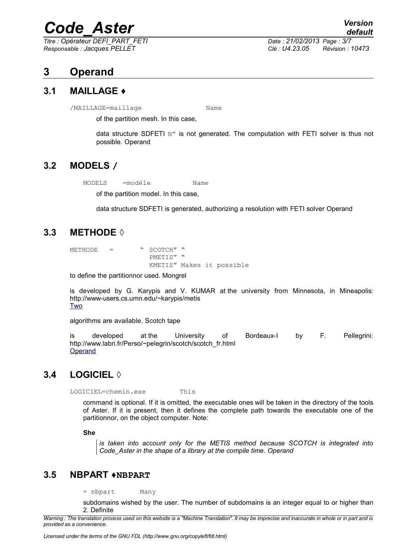*Titre : Opérateur DEFI\_PART\_FETI Date : 21/02/2013 Page : 3/7*

*Responsable : Jacques PELLET Clé : U4.23.05 Révision : 10473*

# **3 Operand**

#### **3.1 MAILLAGE ♦**

/MAILLAGE=maillage Name

of the partition mesh. In this case,

data structure SDFETI N" is not generated. The computation with FETI solver is thus not possible. Operand

# **3.2 MODELS /**

MODELS = modèle Name

of the partition model. In this case,

data structure SDFETI is generated, authorizing a resolution with FETI solver Operand

# **3.3 METHODE ◊**

METHODE = " SCOTCH" " PMETIS" " KMETIS" Makes it possible

to define the partitionnor used. Mongrel

is developed by G. Karypis and V. KUMAR at the university from Minnesota, in Mineapolis: http://www-users.cs.umn.edu/~karypis/metis [Two](http://www-users.cs.umn.edu/~karypis/metis)

algorithms are available. Scotch tape

is developed at the University of Bordeaux-I by F. Pellegrini: http://www.labri.fr/Perso/~pelegrin/scotch/scotch\_fr.html **[Operand](http://www.labri.fr/Perso/~pelegrin/scotch/scotch_fr.html)** 

# **3.4 LOGICIEL ◊**

LOGICIEL=chemin.exe This

command is optional. If it is omitted, the executable ones will be taken in the directory of the tools of Aster. If it is present, then it defines the complete path towards the executable one of the partitionnor, on the object computer. Note:

**She**

*is taken into account only for the METIS method because SCOTCH is integrated into Code\_Aster in the shape of a library at the compile time. Operand*

#### **3.5 NBPART ♦NBPART**

= nbpart Many

subdomains wished by the user. The number of subdomains is an integer equal to or higher than 2. Definite

*Warning : The translation process used on this website is a "Machine Translation". It may be imprecise and inaccurate in whole or in part and is provided as a convenience.*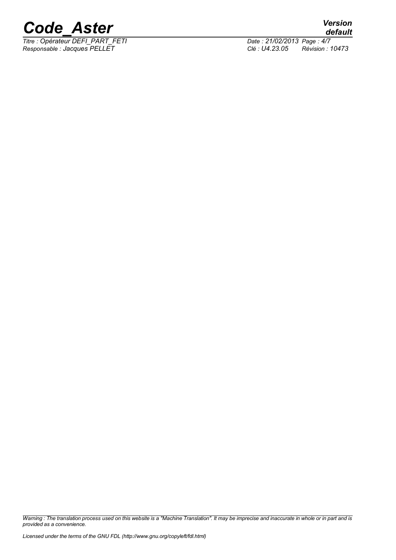

*Titre : Opérateur DEFI\_PART\_FETI Date : 21/02/2013 Page : 4/7 Responsable : Jacques PELLET Clé : U4.23.05 Révision : 10473*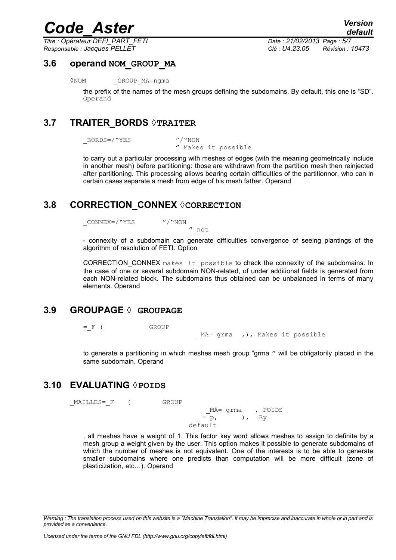*Titre : Opérateur DEFI\_PART\_FETI Date : 21/02/2013 Page : 5/7 Responsable : Jacques PELLET Clé : U4.23.05 Révision : 10473*

*default*

#### **3.6 operand NOM\_GROUP\_MA**

◊NOM \_GROUP\_MA=ngma

the prefix of the names of the mesh groups defining the subdomains. By default, this one is "SD". Operand

### **3.7 TRAITER\_BORDS ◊TRAITER**

\_BORDS=/"YES "/"NON " Makes it possible

to carry out a particular processing with meshes of edges (with the meaning geometrically include in another mesh) before partitioning: those are withdrawn from the partition mesh then reinjected after partitioning. This processing allows bearing certain difficulties of the partitionnor, who can in certain cases separate a mesh from edge of his mesh father. Operand

#### **3.8 CORRECTION\_CONNEX ◊CORRECTION**

\_CONNEX=/"YES "/"NON

" not

- connexity of a subdomain can generate difficulties convergence of seeing plantings of the algorithm of resolution of FETI. Option

CORRECTION\_CONNEX makes it possible to check the connexity of the subdomains. In the case of one or several subdomain NON-related, of under additional fields is generated from each NON-related block. The subdomains thus obtained can be unbalanced in terms of many elements. Operand

#### **3.9 GROUPAGE ◊ GROUPAGE**

 $=$   $F$  ( GROUP

 $MA=$  grma ,), Makes it possible

to generate a partitioning in which meshes mesh group "grma " will be obligatorily placed in the same subdomain. Operand

#### **3.10 EVALUATING ◊POIDS**

MAILLES= F ( GROUP

\_MA= grma , POIDS  $= p, \qquad \qquad$ ), By default

, all meshes have a weight of 1. This factor key word allows meshes to assign to definite by a mesh group a weight given by the user. This option makes it possible to generate subdomains of which the number of meshes is not equivalent. One of the interests is to be able to generate smaller subdomains where one predicts than computation will be more difficult (zone of plasticization, etc…). Operand

*Warning : The translation process used on this website is a "Machine Translation". It may be imprecise and inaccurate in whole or in part and is provided as a convenience.*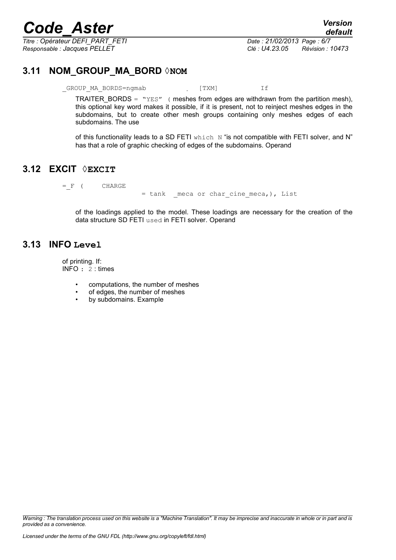#### **3.11 NOM\_GROUP\_MA\_BORD ◊NOM**

\_GROUP\_MA\_BORDS=ngmab [TXM] If

TRAITER BORDS = " $YES"$  (meshes from edges are withdrawn from the partition mesh), this optional key word makes it possible, if it is present, not to reinject meshes edges in the subdomains, but to create other mesh groups containing only meshes edges of each subdomains. The use

of this functionality leads to a SD FETI which  $N$  "is not compatible with FETI solver, and  $N$ " has that a role of graphic checking of edges of the subdomains. Operand

#### **3.12 EXCIT ◊EXCIT**

 $=$   $F$  ( CHARGE

= tank \_meca or char\_cine meca,), List

of the loadings applied to the model. These loadings are necessary for the creation of the data structure SD FETI used in FETI solver. Operand

#### **3.13 INFO Level**

of printing. If: INFO : 2 : times

- computations, the number of meshes
- of edges, the number of meshes
- by subdomains. Example

*Warning : The translation process used on this website is a "Machine Translation". It may be imprecise and inaccurate in whole or in part and is provided as a convenience.*